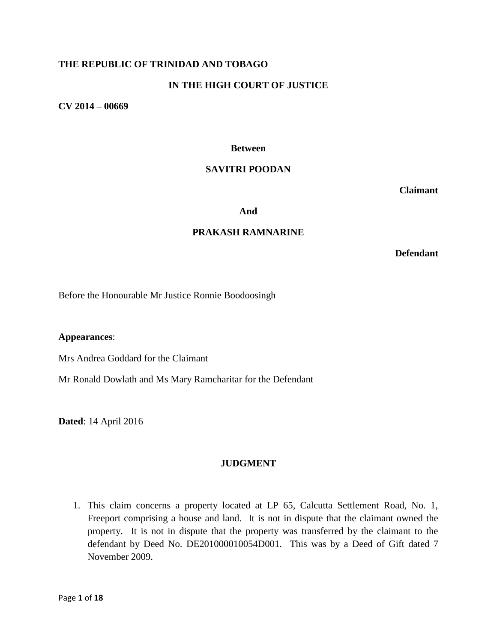# **THE REPUBLIC OF TRINIDAD AND TOBAGO**

# **IN THE HIGH COURT OF JUSTICE**

**CV 2014 – 00669**

#### **Between**

#### **SAVITRI POODAN**

**Claimant**

#### **And**

#### **PRAKASH RAMNARINE**

**Defendant**

Before the Honourable Mr Justice Ronnie Boodoosingh

**Appearances**:

Mrs Andrea Goddard for the Claimant

Mr Ronald Dowlath and Ms Mary Ramcharitar for the Defendant

**Dated**: 14 April 2016

## **JUDGMENT**

1. This claim concerns a property located at LP 65, Calcutta Settlement Road, No. 1, Freeport comprising a house and land. It is not in dispute that the claimant owned the property. It is not in dispute that the property was transferred by the claimant to the defendant by Deed No. DE201000010054D001. This was by a Deed of Gift dated 7 November 2009.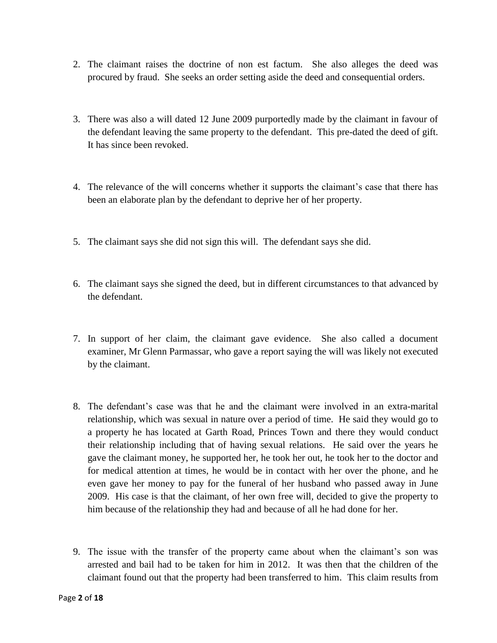- 2. The claimant raises the doctrine of non est factum. She also alleges the deed was procured by fraud. She seeks an order setting aside the deed and consequential orders.
- 3. There was also a will dated 12 June 2009 purportedly made by the claimant in favour of the defendant leaving the same property to the defendant. This pre-dated the deed of gift. It has since been revoked.
- 4. The relevance of the will concerns whether it supports the claimant's case that there has been an elaborate plan by the defendant to deprive her of her property.
- 5. The claimant says she did not sign this will. The defendant says she did.
- 6. The claimant says she signed the deed, but in different circumstances to that advanced by the defendant.
- 7. In support of her claim, the claimant gave evidence. She also called a document examiner, Mr Glenn Parmassar, who gave a report saying the will was likely not executed by the claimant.
- 8. The defendant's case was that he and the claimant were involved in an extra-marital relationship, which was sexual in nature over a period of time. He said they would go to a property he has located at Garth Road, Princes Town and there they would conduct their relationship including that of having sexual relations. He said over the years he gave the claimant money, he supported her, he took her out, he took her to the doctor and for medical attention at times, he would be in contact with her over the phone, and he even gave her money to pay for the funeral of her husband who passed away in June 2009. His case is that the claimant, of her own free will, decided to give the property to him because of the relationship they had and because of all he had done for her.
- 9. The issue with the transfer of the property came about when the claimant's son was arrested and bail had to be taken for him in 2012. It was then that the children of the claimant found out that the property had been transferred to him. This claim results from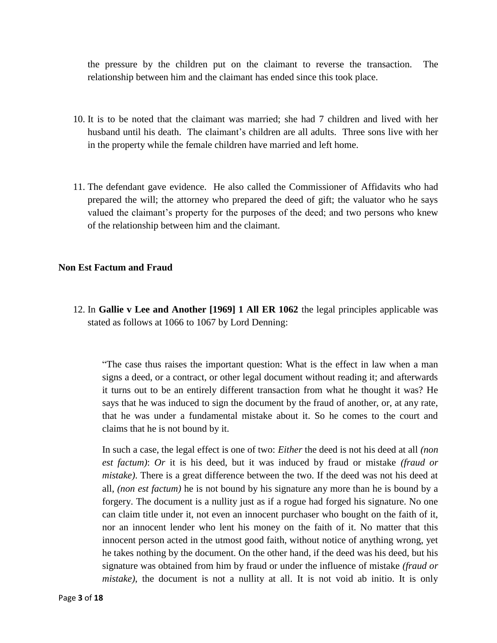the pressure by the children put on the claimant to reverse the transaction. The relationship between him and the claimant has ended since this took place.

- 10. It is to be noted that the claimant was married; she had 7 children and lived with her husband until his death. The claimant's children are all adults. Three sons live with her in the property while the female children have married and left home.
- 11. The defendant gave evidence. He also called the Commissioner of Affidavits who had prepared the will; the attorney who prepared the deed of gift; the valuator who he says valued the claimant's property for the purposes of the deed; and two persons who knew of the relationship between him and the claimant.

## **Non Est Factum and Fraud**

12. In **Gallie v Lee and Another [1969] 1 All ER 1062** the legal principles applicable was stated as follows at 1066 to 1067 by Lord Denning:

"The case thus raises the important question: What is the effect in law when a man signs a deed, or a contract, or other legal document without reading it; and afterwards it turns out to be an entirely different transaction from what he thought it was? He says that he was induced to sign the document by the fraud of another, or, at any rate, that he was under a fundamental mistake about it. So he comes to the court and claims that he is not bound by it.

In such a case, the legal effect is one of two: *Either* the deed is not his deed at all *(non est factum)*: *Or* it is his deed, but it was induced by fraud or mistake *(fraud or mistake)*. There is a great difference between the two. If the deed was not his deed at all, *(non est factum)* he is not bound by his signature any more than he is bound by a forgery. The document is a nullity just as if a rogue had forged his signature. No one can claim title under it, not even an innocent purchaser who bought on the faith of it, nor an innocent lender who lent his money on the faith of it. No matter that this innocent person acted in the utmost good faith, without notice of anything wrong, yet he takes nothing by the document. On the other hand, if the deed was his deed, but his signature was obtained from him by fraud or under the influence of mistake *(fraud or mistake)*, the document is not a nullity at all. It is not void ab initio. It is only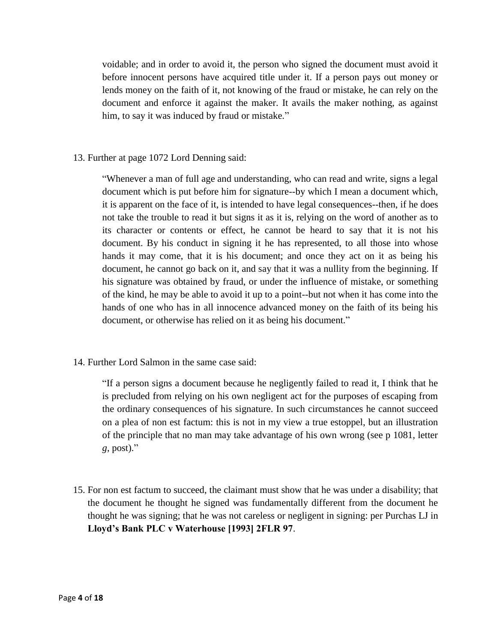voidable; and in order to avoid it, the person who signed the document must avoid it before innocent persons have acquired title under it. If a person pays out money or lends money on the faith of it, not knowing of the fraud or mistake, he can rely on the document and enforce it against the maker. It avails the maker nothing, as against him, to say it was induced by fraud or mistake."

## 13. Further at page 1072 Lord Denning said:

"Whenever a man of full age and understanding, who can read and write, signs a legal document which is put before him for signature--by which I mean a document which, it is apparent on the face of it, is intended to have legal consequences--then, if he does not take the trouble to read it but signs it as it is, relying on the word of another as to its character or contents or effect, he cannot be heard to say that it is not his document. By his conduct in signing it he has represented, to all those into whose hands it may come, that it is his document; and once they act on it as being his document, he cannot go back on it, and say that it was a nullity from the beginning. If his signature was obtained by fraud, or under the influence of mistake, or something of the kind, he may be able to avoid it up to a point--but not when it has come into the hands of one who has in all innocence advanced money on the faith of its being his document, or otherwise has relied on it as being his document."

14. Further Lord Salmon in the same case said:

"If a person signs a document because he negligently failed to read it, I think that he is precluded from relying on his own negligent act for the purposes of escaping from the ordinary consequences of his signature. In such circumstances he cannot succeed on a plea of non est factum: this is not in my view a true estoppel, but an illustration of the principle that no man may take advantage of his own wrong (see p 1081, letter *g*, post)."

15. For non est factum to succeed, the claimant must show that he was under a disability; that the document he thought he signed was fundamentally different from the document he thought he was signing; that he was not careless or negligent in signing: per Purchas LJ in **Lloyd's Bank PLC v Waterhouse [1993] 2FLR 97**.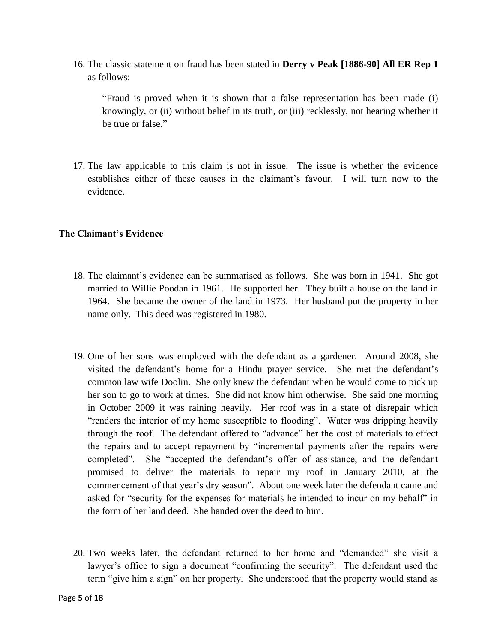16. The classic statement on fraud has been stated in **Derry v Peak [1886-90] All ER Rep 1** as follows:

"Fraud is proved when it is shown that a false representation has been made (i) knowingly, or (ii) without belief in its truth, or (iii) recklessly, not hearing whether it be true or false."

17. The law applicable to this claim is not in issue. The issue is whether the evidence establishes either of these causes in the claimant's favour. I will turn now to the evidence.

## **The Claimant's Evidence**

- 18. The claimant's evidence can be summarised as follows. She was born in 1941. She got married to Willie Poodan in 1961. He supported her. They built a house on the land in 1964. She became the owner of the land in 1973. Her husband put the property in her name only. This deed was registered in 1980.
- 19. One of her sons was employed with the defendant as a gardener. Around 2008, she visited the defendant's home for a Hindu prayer service. She met the defendant's common law wife Doolin. She only knew the defendant when he would come to pick up her son to go to work at times. She did not know him otherwise. She said one morning in October 2009 it was raining heavily. Her roof was in a state of disrepair which "renders the interior of my home susceptible to flooding". Water was dripping heavily through the roof. The defendant offered to "advance" her the cost of materials to effect the repairs and to accept repayment by "incremental payments after the repairs were completed". She "accepted the defendant's offer of assistance, and the defendant promised to deliver the materials to repair my roof in January 2010, at the commencement of that year's dry season". About one week later the defendant came and asked for "security for the expenses for materials he intended to incur on my behalf" in the form of her land deed. She handed over the deed to him.
- 20. Two weeks later, the defendant returned to her home and "demanded" she visit a lawyer's office to sign a document "confirming the security". The defendant used the term "give him a sign" on her property. She understood that the property would stand as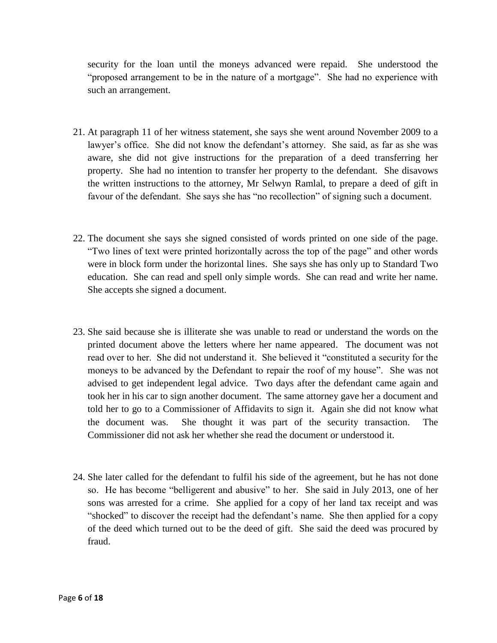security for the loan until the moneys advanced were repaid. She understood the "proposed arrangement to be in the nature of a mortgage". She had no experience with such an arrangement.

- 21. At paragraph 11 of her witness statement, she says she went around November 2009 to a lawyer's office. She did not know the defendant's attorney. She said, as far as she was aware, she did not give instructions for the preparation of a deed transferring her property. She had no intention to transfer her property to the defendant. She disavows the written instructions to the attorney, Mr Selwyn Ramlal, to prepare a deed of gift in favour of the defendant. She says she has "no recollection" of signing such a document.
- 22. The document she says she signed consisted of words printed on one side of the page. "Two lines of text were printed horizontally across the top of the page" and other words were in block form under the horizontal lines. She says she has only up to Standard Two education. She can read and spell only simple words. She can read and write her name. She accepts she signed a document.
- 23. She said because she is illiterate she was unable to read or understand the words on the printed document above the letters where her name appeared. The document was not read over to her. She did not understand it. She believed it "constituted a security for the moneys to be advanced by the Defendant to repair the roof of my house". She was not advised to get independent legal advice. Two days after the defendant came again and took her in his car to sign another document. The same attorney gave her a document and told her to go to a Commissioner of Affidavits to sign it. Again she did not know what the document was. She thought it was part of the security transaction. The Commissioner did not ask her whether she read the document or understood it.
- 24. She later called for the defendant to fulfil his side of the agreement, but he has not done so. He has become "belligerent and abusive" to her. She said in July 2013, one of her sons was arrested for a crime. She applied for a copy of her land tax receipt and was "shocked" to discover the receipt had the defendant's name. She then applied for a copy of the deed which turned out to be the deed of gift. She said the deed was procured by fraud.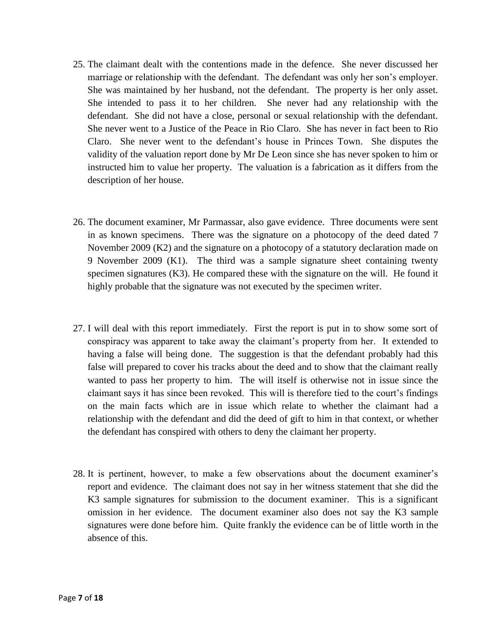- 25. The claimant dealt with the contentions made in the defence. She never discussed her marriage or relationship with the defendant. The defendant was only her son's employer. She was maintained by her husband, not the defendant. The property is her only asset. She intended to pass it to her children. She never had any relationship with the defendant. She did not have a close, personal or sexual relationship with the defendant. She never went to a Justice of the Peace in Rio Claro. She has never in fact been to Rio Claro. She never went to the defendant's house in Princes Town. She disputes the validity of the valuation report done by Mr De Leon since she has never spoken to him or instructed him to value her property. The valuation is a fabrication as it differs from the description of her house.
- 26. The document examiner, Mr Parmassar, also gave evidence. Three documents were sent in as known specimens. There was the signature on a photocopy of the deed dated 7 November 2009 (K2) and the signature on a photocopy of a statutory declaration made on 9 November 2009 (K1). The third was a sample signature sheet containing twenty specimen signatures (K3). He compared these with the signature on the will. He found it highly probable that the signature was not executed by the specimen writer.
- 27. I will deal with this report immediately. First the report is put in to show some sort of conspiracy was apparent to take away the claimant's property from her. It extended to having a false will being done. The suggestion is that the defendant probably had this false will prepared to cover his tracks about the deed and to show that the claimant really wanted to pass her property to him. The will itself is otherwise not in issue since the claimant says it has since been revoked. This will is therefore tied to the court's findings on the main facts which are in issue which relate to whether the claimant had a relationship with the defendant and did the deed of gift to him in that context, or whether the defendant has conspired with others to deny the claimant her property.
- 28. It is pertinent, however, to make a few observations about the document examiner's report and evidence. The claimant does not say in her witness statement that she did the K3 sample signatures for submission to the document examiner. This is a significant omission in her evidence. The document examiner also does not say the K3 sample signatures were done before him. Quite frankly the evidence can be of little worth in the absence of this.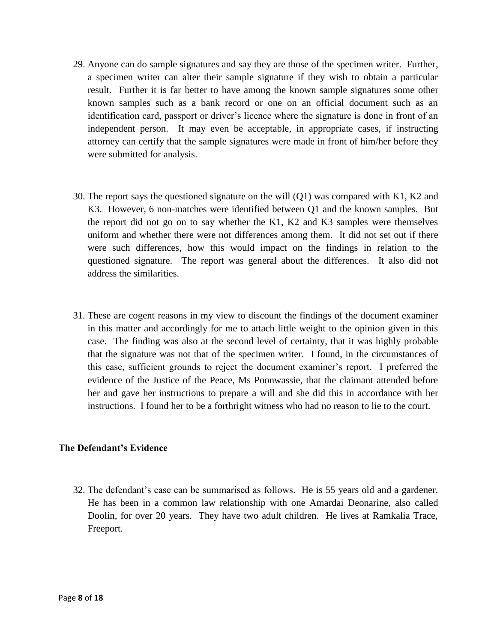- 29. Anyone can do sample signatures and say they are those of the specimen writer. Further, a specimen writer can alter their sample signature if they wish to obtain a particular result. Further it is far better to have among the known sample signatures some other known samples such as a bank record or one on an official document such as an identification card, passport or driver's licence where the signature is done in front of an independent person. It may even be acceptable, in appropriate cases, if instructing attorney can certify that the sample signatures were made in front of him/her before they were submitted for analysis.
- 30. The report says the questioned signature on the will (Q1) was compared with K1, K2 and K3. However, 6 non-matches were identified between Q1 and the known samples. But the report did not go on to say whether the K1, K2 and K3 samples were themselves uniform and whether there were not differences among them. It did not set out if there were such differences, how this would impact on the findings in relation to the questioned signature. The report was general about the differences. It also did not address the similarities.
- 31. These are cogent reasons in my view to discount the findings of the document examiner in this matter and accordingly for me to attach little weight to the opinion given in this case. The finding was also at the second level of certainty, that it was highly probable that the signature was not that of the specimen writer. I found, in the circumstances of this case, sufficient grounds to reject the document examiner's report. I preferred the evidence of the Justice of the Peace, Ms Poonwassie, that the claimant attended before her and gave her instructions to prepare a will and she did this in accordance with her instructions. I found her to be a forthright witness who had no reason to lie to the court.

## **The Defendant's Evidence**

32. The defendant's case can be summarised as follows. He is 55 years old and a gardener. He has been in a common law relationship with one Amardai Deonarine, also called Doolin, for over 20 years. They have two adult children. He lives at Ramkalia Trace, Freeport.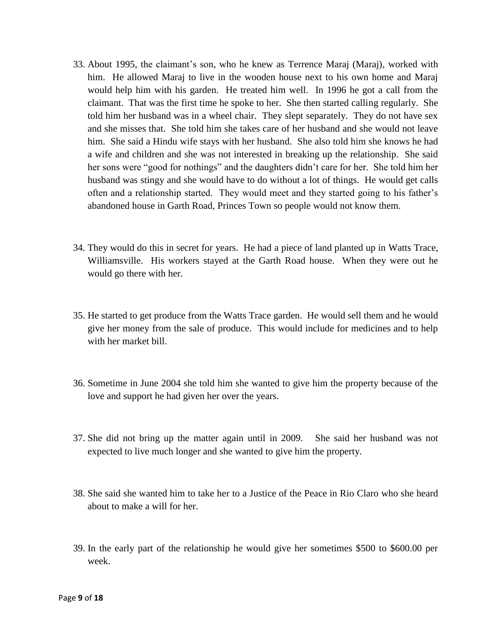- 33. About 1995, the claimant's son, who he knew as Terrence Maraj (Maraj), worked with him. He allowed Maraj to live in the wooden house next to his own home and Maraj would help him with his garden. He treated him well. In 1996 he got a call from the claimant. That was the first time he spoke to her. She then started calling regularly. She told him her husband was in a wheel chair. They slept separately. They do not have sex and she misses that. She told him she takes care of her husband and she would not leave him. She said a Hindu wife stays with her husband. She also told him she knows he had a wife and children and she was not interested in breaking up the relationship. She said her sons were "good for nothings" and the daughters didn't care for her. She told him her husband was stingy and she would have to do without a lot of things. He would get calls often and a relationship started. They would meet and they started going to his father's abandoned house in Garth Road, Princes Town so people would not know them.
- 34. They would do this in secret for years. He had a piece of land planted up in Watts Trace, Williamsville. His workers stayed at the Garth Road house. When they were out he would go there with her.
- 35. He started to get produce from the Watts Trace garden. He would sell them and he would give her money from the sale of produce. This would include for medicines and to help with her market bill.
- 36. Sometime in June 2004 she told him she wanted to give him the property because of the love and support he had given her over the years.
- 37. She did not bring up the matter again until in 2009. She said her husband was not expected to live much longer and she wanted to give him the property.
- 38. She said she wanted him to take her to a Justice of the Peace in Rio Claro who she heard about to make a will for her.
- 39. In the early part of the relationship he would give her sometimes \$500 to \$600.00 per week.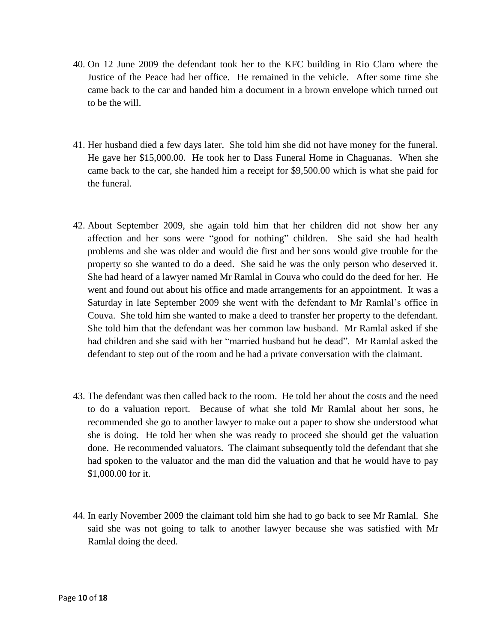- 40. On 12 June 2009 the defendant took her to the KFC building in Rio Claro where the Justice of the Peace had her office. He remained in the vehicle. After some time she came back to the car and handed him a document in a brown envelope which turned out to be the will.
- 41. Her husband died a few days later. She told him she did not have money for the funeral. He gave her \$15,000.00. He took her to Dass Funeral Home in Chaguanas. When she came back to the car, she handed him a receipt for \$9,500.00 which is what she paid for the funeral.
- 42. About September 2009, she again told him that her children did not show her any affection and her sons were "good for nothing" children. She said she had health problems and she was older and would die first and her sons would give trouble for the property so she wanted to do a deed. She said he was the only person who deserved it. She had heard of a lawyer named Mr Ramlal in Couva who could do the deed for her. He went and found out about his office and made arrangements for an appointment. It was a Saturday in late September 2009 she went with the defendant to Mr Ramlal's office in Couva. She told him she wanted to make a deed to transfer her property to the defendant. She told him that the defendant was her common law husband. Mr Ramlal asked if she had children and she said with her "married husband but he dead". Mr Ramlal asked the defendant to step out of the room and he had a private conversation with the claimant.
- 43. The defendant was then called back to the room. He told her about the costs and the need to do a valuation report. Because of what she told Mr Ramlal about her sons, he recommended she go to another lawyer to make out a paper to show she understood what she is doing. He told her when she was ready to proceed she should get the valuation done. He recommended valuators. The claimant subsequently told the defendant that she had spoken to the valuator and the man did the valuation and that he would have to pay \$1,000.00 for it.
- 44. In early November 2009 the claimant told him she had to go back to see Mr Ramlal. She said she was not going to talk to another lawyer because she was satisfied with Mr Ramlal doing the deed.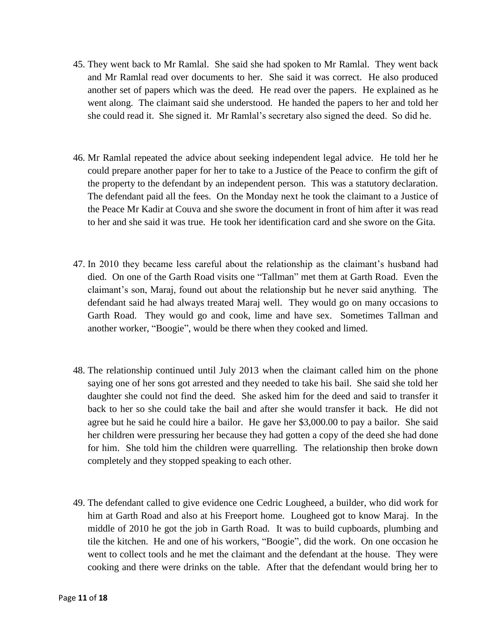- 45. They went back to Mr Ramlal. She said she had spoken to Mr Ramlal. They went back and Mr Ramlal read over documents to her. She said it was correct. He also produced another set of papers which was the deed. He read over the papers. He explained as he went along. The claimant said she understood. He handed the papers to her and told her she could read it. She signed it. Mr Ramlal's secretary also signed the deed. So did he.
- 46. Mr Ramlal repeated the advice about seeking independent legal advice. He told her he could prepare another paper for her to take to a Justice of the Peace to confirm the gift of the property to the defendant by an independent person. This was a statutory declaration. The defendant paid all the fees. On the Monday next he took the claimant to a Justice of the Peace Mr Kadir at Couva and she swore the document in front of him after it was read to her and she said it was true. He took her identification card and she swore on the Gita.
- 47. In 2010 they became less careful about the relationship as the claimant's husband had died. On one of the Garth Road visits one "Tallman" met them at Garth Road. Even the claimant's son, Maraj, found out about the relationship but he never said anything. The defendant said he had always treated Maraj well. They would go on many occasions to Garth Road. They would go and cook, lime and have sex. Sometimes Tallman and another worker, "Boogie", would be there when they cooked and limed.
- 48. The relationship continued until July 2013 when the claimant called him on the phone saying one of her sons got arrested and they needed to take his bail. She said she told her daughter she could not find the deed. She asked him for the deed and said to transfer it back to her so she could take the bail and after she would transfer it back. He did not agree but he said he could hire a bailor. He gave her \$3,000.00 to pay a bailor. She said her children were pressuring her because they had gotten a copy of the deed she had done for him. She told him the children were quarrelling. The relationship then broke down completely and they stopped speaking to each other.
- 49. The defendant called to give evidence one Cedric Lougheed, a builder, who did work for him at Garth Road and also at his Freeport home. Lougheed got to know Maraj. In the middle of 2010 he got the job in Garth Road. It was to build cupboards, plumbing and tile the kitchen. He and one of his workers, "Boogie", did the work. On one occasion he went to collect tools and he met the claimant and the defendant at the house. They were cooking and there were drinks on the table. After that the defendant would bring her to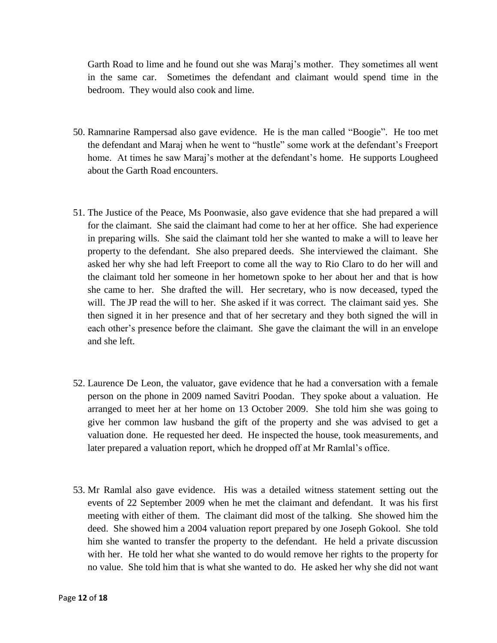Garth Road to lime and he found out she was Maraj's mother. They sometimes all went in the same car. Sometimes the defendant and claimant would spend time in the bedroom. They would also cook and lime.

- 50. Ramnarine Rampersad also gave evidence. He is the man called "Boogie". He too met the defendant and Maraj when he went to "hustle" some work at the defendant's Freeport home. At times he saw Maraj's mother at the defendant's home. He supports Lougheed about the Garth Road encounters.
- 51. The Justice of the Peace, Ms Poonwasie, also gave evidence that she had prepared a will for the claimant. She said the claimant had come to her at her office. She had experience in preparing wills. She said the claimant told her she wanted to make a will to leave her property to the defendant. She also prepared deeds. She interviewed the claimant. She asked her why she had left Freeport to come all the way to Rio Claro to do her will and the claimant told her someone in her hometown spoke to her about her and that is how she came to her. She drafted the will. Her secretary, who is now deceased, typed the will. The JP read the will to her. She asked if it was correct. The claimant said yes. She then signed it in her presence and that of her secretary and they both signed the will in each other's presence before the claimant. She gave the claimant the will in an envelope and she left.
- 52. Laurence De Leon, the valuator, gave evidence that he had a conversation with a female person on the phone in 2009 named Savitri Poodan. They spoke about a valuation. He arranged to meet her at her home on 13 October 2009. She told him she was going to give her common law husband the gift of the property and she was advised to get a valuation done. He requested her deed. He inspected the house, took measurements, and later prepared a valuation report, which he dropped off at Mr Ramlal's office.
- 53. Mr Ramlal also gave evidence. His was a detailed witness statement setting out the events of 22 September 2009 when he met the claimant and defendant. It was his first meeting with either of them. The claimant did most of the talking. She showed him the deed. She showed him a 2004 valuation report prepared by one Joseph Gokool. She told him she wanted to transfer the property to the defendant. He held a private discussion with her. He told her what she wanted to do would remove her rights to the property for no value. She told him that is what she wanted to do. He asked her why she did not want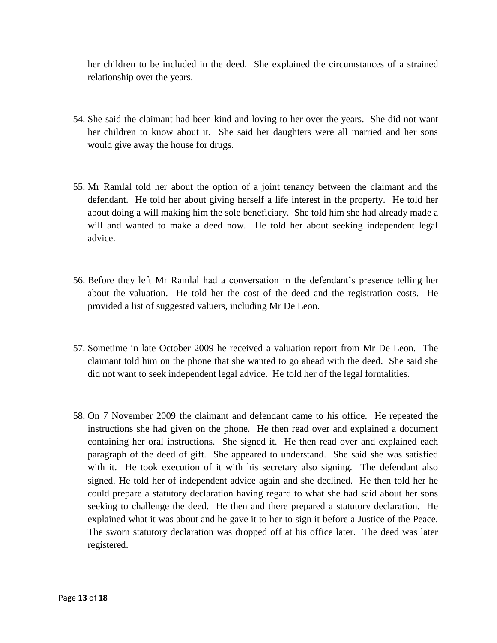her children to be included in the deed. She explained the circumstances of a strained relationship over the years.

- 54. She said the claimant had been kind and loving to her over the years. She did not want her children to know about it. She said her daughters were all married and her sons would give away the house for drugs.
- 55. Mr Ramlal told her about the option of a joint tenancy between the claimant and the defendant. He told her about giving herself a life interest in the property. He told her about doing a will making him the sole beneficiary. She told him she had already made a will and wanted to make a deed now. He told her about seeking independent legal advice.
- 56. Before they left Mr Ramlal had a conversation in the defendant's presence telling her about the valuation. He told her the cost of the deed and the registration costs. He provided a list of suggested valuers, including Mr De Leon.
- 57. Sometime in late October 2009 he received a valuation report from Mr De Leon. The claimant told him on the phone that she wanted to go ahead with the deed. She said she did not want to seek independent legal advice. He told her of the legal formalities.
- 58. On 7 November 2009 the claimant and defendant came to his office. He repeated the instructions she had given on the phone. He then read over and explained a document containing her oral instructions. She signed it. He then read over and explained each paragraph of the deed of gift. She appeared to understand. She said she was satisfied with it. He took execution of it with his secretary also signing. The defendant also signed. He told her of independent advice again and she declined. He then told her he could prepare a statutory declaration having regard to what she had said about her sons seeking to challenge the deed. He then and there prepared a statutory declaration. He explained what it was about and he gave it to her to sign it before a Justice of the Peace. The sworn statutory declaration was dropped off at his office later. The deed was later registered.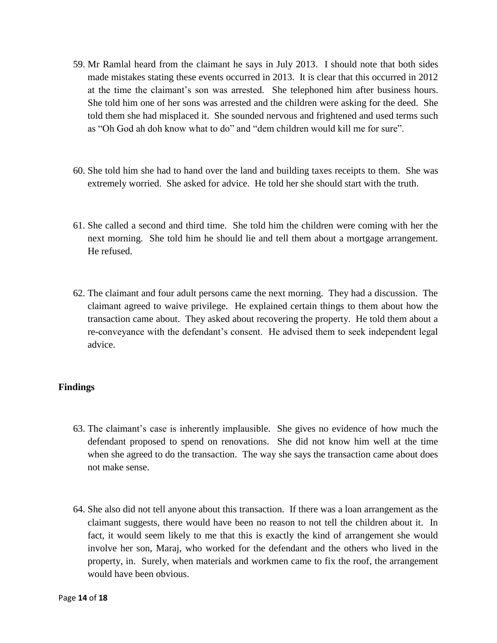- 59. Mr Ramlal heard from the claimant he says in July 2013. I should note that both sides made mistakes stating these events occurred in 2013. It is clear that this occurred in 2012 at the time the claimant's son was arrested. She telephoned him after business hours. She told him one of her sons was arrested and the children were asking for the deed. She told them she had misplaced it. She sounded nervous and frightened and used terms such as "Oh God ah doh know what to do" and "dem children would kill me for sure".
- 60. She told him she had to hand over the land and building taxes receipts to them. She was extremely worried. She asked for advice. He told her she should start with the truth.
- 61. She called a second and third time. She told him the children were coming with her the next morning. She told him he should lie and tell them about a mortgage arrangement. He refused.
- 62. The claimant and four adult persons came the next morning. They had a discussion. The claimant agreed to waive privilege. He explained certain things to them about how the transaction came about. They asked about recovering the property. He told them about a re-conveyance with the defendant's consent. He advised them to seek independent legal advice.

## **Findings**

- 63. The claimant's case is inherently implausible. She gives no evidence of how much the defendant proposed to spend on renovations. She did not know him well at the time when she agreed to do the transaction. The way she says the transaction came about does not make sense.
- 64. She also did not tell anyone about this transaction. If there was a loan arrangement as the claimant suggests, there would have been no reason to not tell the children about it. In fact, it would seem likely to me that this is exactly the kind of arrangement she would involve her son, Maraj, who worked for the defendant and the others who lived in the property, in. Surely, when materials and workmen came to fix the roof, the arrangement would have been obvious.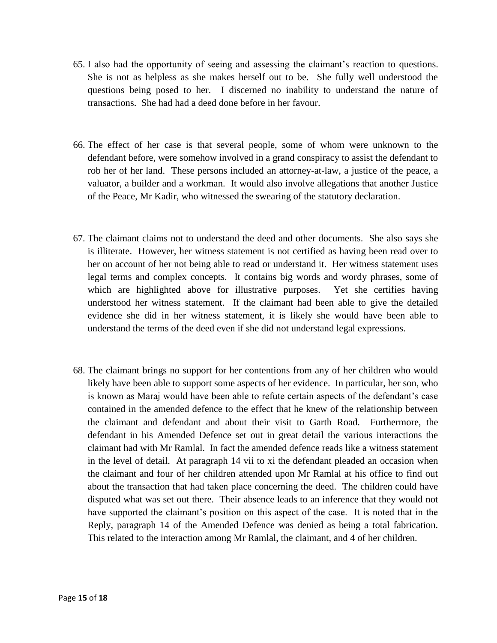- 65. I also had the opportunity of seeing and assessing the claimant's reaction to questions. She is not as helpless as she makes herself out to be. She fully well understood the questions being posed to her. I discerned no inability to understand the nature of transactions. She had had a deed done before in her favour.
- 66. The effect of her case is that several people, some of whom were unknown to the defendant before, were somehow involved in a grand conspiracy to assist the defendant to rob her of her land. These persons included an attorney-at-law, a justice of the peace, a valuator, a builder and a workman. It would also involve allegations that another Justice of the Peace, Mr Kadir, who witnessed the swearing of the statutory declaration.
- 67. The claimant claims not to understand the deed and other documents. She also says she is illiterate. However, her witness statement is not certified as having been read over to her on account of her not being able to read or understand it. Her witness statement uses legal terms and complex concepts. It contains big words and wordy phrases, some of which are highlighted above for illustrative purposes. Yet she certifies having understood her witness statement. If the claimant had been able to give the detailed evidence she did in her witness statement, it is likely she would have been able to understand the terms of the deed even if she did not understand legal expressions.
- 68. The claimant brings no support for her contentions from any of her children who would likely have been able to support some aspects of her evidence. In particular, her son, who is known as Maraj would have been able to refute certain aspects of the defendant's case contained in the amended defence to the effect that he knew of the relationship between the claimant and defendant and about their visit to Garth Road. Furthermore, the defendant in his Amended Defence set out in great detail the various interactions the claimant had with Mr Ramlal. In fact the amended defence reads like a witness statement in the level of detail. At paragraph 14 vii to xi the defendant pleaded an occasion when the claimant and four of her children attended upon Mr Ramlal at his office to find out about the transaction that had taken place concerning the deed. The children could have disputed what was set out there. Their absence leads to an inference that they would not have supported the claimant's position on this aspect of the case. It is noted that in the Reply, paragraph 14 of the Amended Defence was denied as being a total fabrication. This related to the interaction among Mr Ramlal, the claimant, and 4 of her children.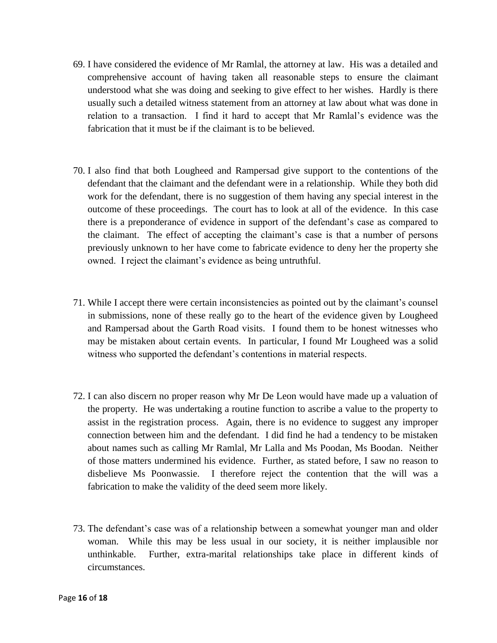- 69. I have considered the evidence of Mr Ramlal, the attorney at law. His was a detailed and comprehensive account of having taken all reasonable steps to ensure the claimant understood what she was doing and seeking to give effect to her wishes. Hardly is there usually such a detailed witness statement from an attorney at law about what was done in relation to a transaction. I find it hard to accept that Mr Ramlal's evidence was the fabrication that it must be if the claimant is to be believed.
- 70. I also find that both Lougheed and Rampersad give support to the contentions of the defendant that the claimant and the defendant were in a relationship. While they both did work for the defendant, there is no suggestion of them having any special interest in the outcome of these proceedings. The court has to look at all of the evidence. In this case there is a preponderance of evidence in support of the defendant's case as compared to the claimant. The effect of accepting the claimant's case is that a number of persons previously unknown to her have come to fabricate evidence to deny her the property she owned. I reject the claimant's evidence as being untruthful.
- 71. While I accept there were certain inconsistencies as pointed out by the claimant's counsel in submissions, none of these really go to the heart of the evidence given by Lougheed and Rampersad about the Garth Road visits. I found them to be honest witnesses who may be mistaken about certain events. In particular, I found Mr Lougheed was a solid witness who supported the defendant's contentions in material respects.
- 72. I can also discern no proper reason why Mr De Leon would have made up a valuation of the property. He was undertaking a routine function to ascribe a value to the property to assist in the registration process. Again, there is no evidence to suggest any improper connection between him and the defendant. I did find he had a tendency to be mistaken about names such as calling Mr Ramlal, Mr Lalla and Ms Poodan, Ms Boodan. Neither of those matters undermined his evidence. Further, as stated before, I saw no reason to disbelieve Ms Poonwassie. I therefore reject the contention that the will was a fabrication to make the validity of the deed seem more likely.
- 73. The defendant's case was of a relationship between a somewhat younger man and older woman. While this may be less usual in our society, it is neither implausible nor unthinkable. Further, extra-marital relationships take place in different kinds of circumstances.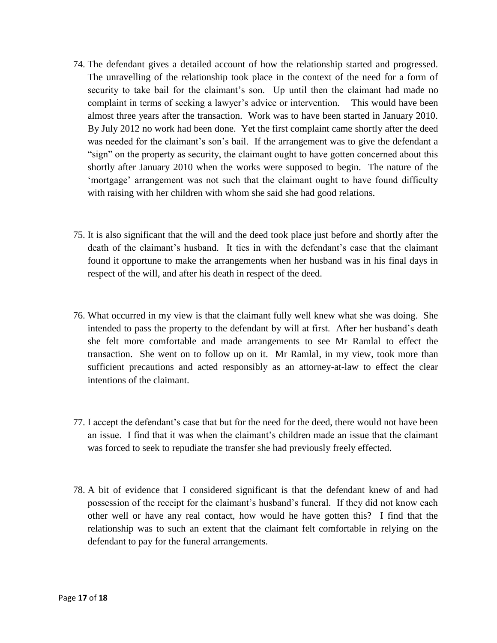- 74. The defendant gives a detailed account of how the relationship started and progressed. The unravelling of the relationship took place in the context of the need for a form of security to take bail for the claimant's son. Up until then the claimant had made no complaint in terms of seeking a lawyer's advice or intervention. This would have been almost three years after the transaction. Work was to have been started in January 2010. By July 2012 no work had been done. Yet the first complaint came shortly after the deed was needed for the claimant's son's bail. If the arrangement was to give the defendant a "sign" on the property as security, the claimant ought to have gotten concerned about this shortly after January 2010 when the works were supposed to begin. The nature of the 'mortgage' arrangement was not such that the claimant ought to have found difficulty with raising with her children with whom she said she had good relations.
- 75. It is also significant that the will and the deed took place just before and shortly after the death of the claimant's husband. It ties in with the defendant's case that the claimant found it opportune to make the arrangements when her husband was in his final days in respect of the will, and after his death in respect of the deed.
- 76. What occurred in my view is that the claimant fully well knew what she was doing. She intended to pass the property to the defendant by will at first. After her husband's death she felt more comfortable and made arrangements to see Mr Ramlal to effect the transaction. She went on to follow up on it. Mr Ramlal, in my view, took more than sufficient precautions and acted responsibly as an attorney-at-law to effect the clear intentions of the claimant.
- 77. I accept the defendant's case that but for the need for the deed, there would not have been an issue. I find that it was when the claimant's children made an issue that the claimant was forced to seek to repudiate the transfer she had previously freely effected.
- 78. A bit of evidence that I considered significant is that the defendant knew of and had possession of the receipt for the claimant's husband's funeral. If they did not know each other well or have any real contact, how would he have gotten this? I find that the relationship was to such an extent that the claimant felt comfortable in relying on the defendant to pay for the funeral arrangements.